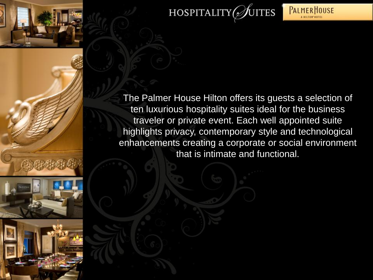

## HOSPITALITY UITES



**PALMERHOUSE** 

**HUTGH HOT** 

that is intimate and functional.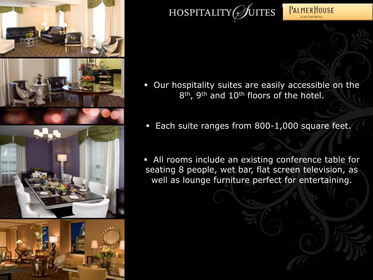



 Our hospitality suites are easily accessible on the 8<sup>th</sup>, 9<sup>th</sup> and 10<sup>th</sup> floors of the hotel.

**PALMERHOUSE** A HILTON HOTE

- **Each suite ranges from 800-1,000 square feet.**
- All rooms include an existing conference table for seating 8 people, wet bar, flat screen television, as well as lounge furniture perfect for entertaining.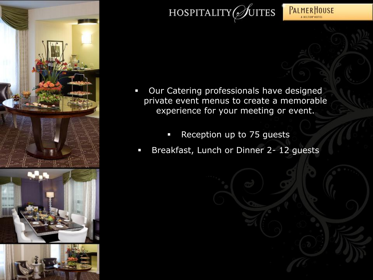



**PALMERHOUSE** A HILTON HOTE

- **Our Catering professionals have designed** private event menus to create a memorable experience for your meeting or event.
	- **Reception up to 75 guests**
- Breakfast, Lunch or Dinner 2- 12 guests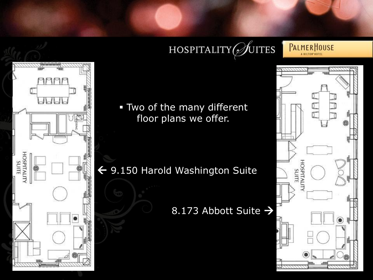## HOSPITALITY  $\mathscr{D}$ utes

**PALMERHOUSE** A HILTON HOTEL



 Two of the many different floor plans we offer.

 $\leftarrow$  9.150 Harold Washington Suite

## 8.173 Abbott Suite >

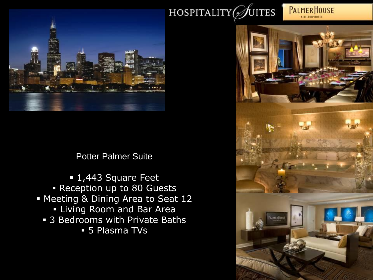

**PALMERHOUSE** A HILTON HOTEL



Potter Palmer Suite

**1,443** Square Feet Reception up to 80 Guests Meeting & Dining Area to Seat 12 **Example Proom and Bar Area 3 Bedrooms with Private Baths** 5 Plasma TVs

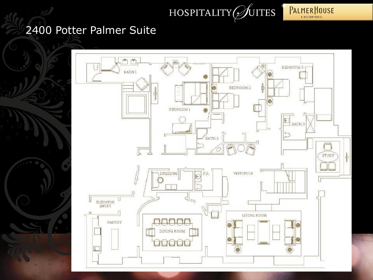



## 2400 Potter Palmer Suite